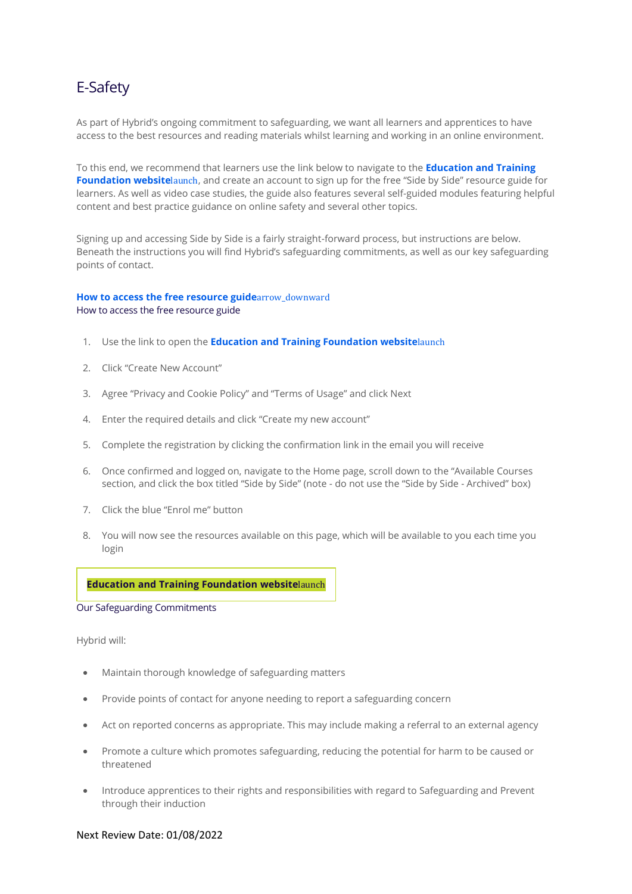## E-Safety

As part of Hybrid's ongoing commitment to safeguarding, we want all learners and apprentices to have access to the best resources and reading materials whilst learning and working in an online environment.

To this end, we recommend that learners use the link below to navigate to the **[Education and Training](https://www.etflearners.org.uk/login/index.php)  [Foundation website](https://www.etflearners.org.uk/login/index.php)**launch, and create an account to sign up for the free "Side by Side" resource guide for learners. As well as video case studies, the guide also features several self-guided modules featuring helpful content and best practice guidance on online safety and several other topics.

Signing up and accessing Side by Side is a fairly straight-forward process, but instructions are below. Beneath the instructions you will find Hybrid's safeguarding commitments, as well as our key safeguarding points of contact.

## **[How to access the free resource guide](https://kaplan.co.uk/about/policies/e-safety-for-learners#resource)**[arrow\\_downward](https://kaplan.co.uk/about/policies/e-safety-for-learners#resource) How to access the free resource guide

- 1. Use the link to open the **[Education and Training Foundation website](https://www.etflearners.org.uk/login/index.php)**[launch](https://www.etflearners.org.uk/login/index.php)
- 2. Click "Create New Account"
- 3. Agree "Privacy and Cookie Policy" and "Terms of Usage" and click Next
- 4. Enter the required details and click "Create my new account"
- 5. Complete the registration by clicking the confirmation link in the email you will receive
- 6. Once confirmed and logged on, navigate to the Home page, scroll down to the "Available Courses section, and click the box titled "Side by Side" (note - do not use the "Side by Side - Archived" box)
- 7. Click the blue "Enrol me" button
- 8. You will now see the resources available on this page, which will be available to you each time you login

## **Education and Training [Foundation](https://www.etflearners.org.uk/login/index.php) website**[launch](https://www.etflearners.org.uk/login/index.php)

Our Safeguarding Commitments

Hybrid will:

- Maintain thorough knowledge of safeguarding matters
- Provide points of contact for anyone needing to report a safeguarding concern
- Act on reported concerns as appropriate. This may include making a referral to an external agency
- Promote a culture which promotes safeguarding, reducing the potential for harm to be caused or threatened
- Introduce apprentices to their rights and responsibilities with regard to Safeguarding and Prevent through their induction

## Next Review Date: 01/08/2022